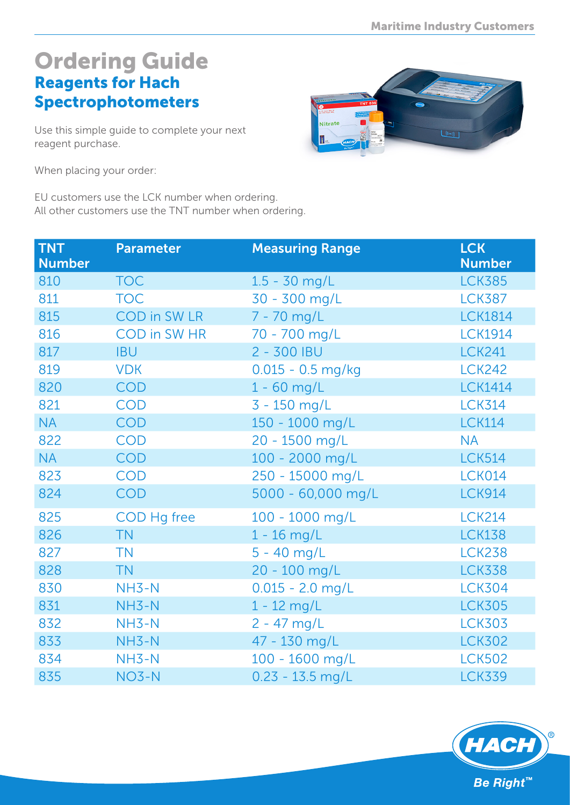## Ordering Guide Reagents for Hach **Spectrophotometers**

Use this simple guide to complete your next reagent purchase.



When placing your order:

EU customers use the LCK number when ordering. All other customers use the TNT number when ordering.

| <b>TNT</b><br><b>Number</b> | <b>Parameter</b>    | <b>Measuring Range</b> | <b>LCK</b><br><b>Number</b> |
|-----------------------------|---------------------|------------------------|-----------------------------|
| 810                         | <b>TOC</b>          | $1.5 - 30$ mg/L        | <b>LCK385</b>               |
| 811                         | <b>TOC</b>          | 30 - 300 mg/L          | <b>LCK387</b>               |
| 815                         | <b>COD</b> in SW LR | 7 - 70 mg/L            | <b>LCK1814</b>              |
| 816                         | COD in SW HR        | 70 - 700 mg/L          | <b>LCK1914</b>              |
| 817                         | <b>IBU</b>          | $2 - 300$ IBU          | <b>LCK241</b>               |
| 819                         | <b>VDK</b>          | $0.015 - 0.5$ mg/kg    | <b>LCK242</b>               |
| 820                         | <b>COD</b>          | $1 - 60$ mg/L          | <b>LCK1414</b>              |
| 821                         | <b>COD</b>          | 3 - 150 mg/L           | <b>LCK314</b>               |
| <b>NA</b>                   | <b>COD</b>          | 150 - 1000 mg/L        | <b>LCK114</b>               |
| 822                         | <b>COD</b>          | 20 - 1500 mg/L         | <b>NA</b>                   |
| <b>NA</b>                   | <b>COD</b>          | 100 - 2000 mg/L        | <b>LCK514</b>               |
| 823                         | <b>COD</b>          | 250 - 15000 mg/L       | LCK014                      |
| 824                         | <b>COD</b>          | 5000 - 60,000 mg/L     | <b>LCK914</b>               |
| 825                         | COD Hg free         | 100 - 1000 mg/L        | <b>LCK214</b>               |
| 826                         | <b>TN</b>           | $1 - 16$ mg/L          | <b>LCK138</b>               |
| 827                         | <b>TN</b>           | $5 - 40$ mg/L          | <b>LCK238</b>               |
| 828                         | <b>TN</b>           | 20 - 100 mg/L          | <b>LCK338</b>               |
| 830                         | $NH3-N$             | $0.015 - 2.0$ mg/L     | <b>LCK304</b>               |
| 831                         | NH3-N               | $1 - 12$ mg/L          | <b>LCK305</b>               |
| 832                         | NH3-N               | $2 - 47$ mg/L          | <b>LCK303</b>               |
| 833                         | NH3-N               | 47 - 130 mg/L          | <b>LCK302</b>               |
| 834                         | $NH3-N$             | 100 - 1600 mg/L        | <b>LCK502</b>               |
| 835                         | $NO3-N$             | $0.23 - 13.5$ mg/L     | <b>LCK339</b>               |

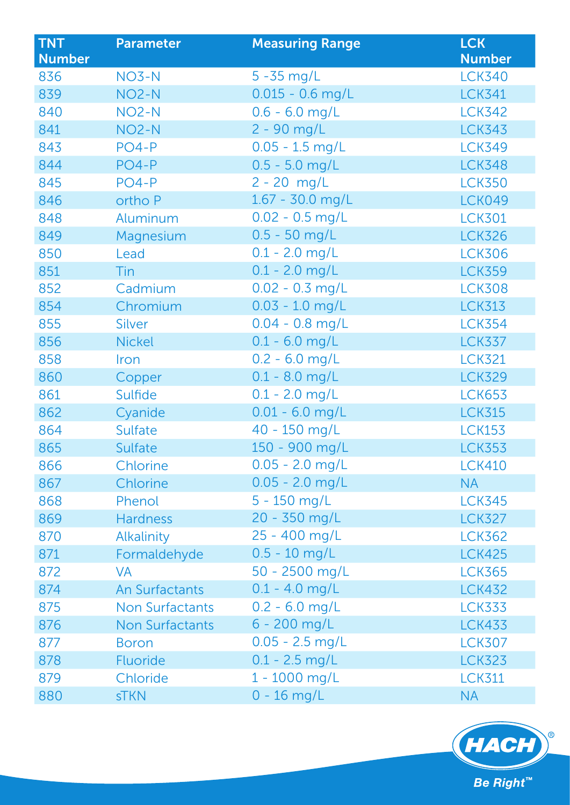| <b>TNT</b><br><b>Number</b> | <b>Parameter</b>       | <b>Measuring Range</b> | <b>LCK</b><br><b>Number</b> |
|-----------------------------|------------------------|------------------------|-----------------------------|
| 836                         | NO3-N                  | $5 - 35$ mg/L          | <b>LCK340</b>               |
| 839                         | NO <sub>2</sub> -N     | $0.015 - 0.6$ mg/L     | <b>LCK341</b>               |
| 840                         | NO <sub>2</sub> -N     | $0.6 - 6.0$ mg/L       | <b>LCK342</b>               |
| 841                         | NO <sub>2</sub> -N     | 2 - 90 mg/L            | <b>LCK343</b>               |
| 843                         | $PO4-P$                | $0.05 - 1.5$ mg/L      | <b>LCK349</b>               |
| 844                         | PO4-P                  | $0.5 - 5.0$ mg/L       | <b>LCK348</b>               |
| 845                         | $PO4-P$                | $2 - 20$ mg/L          | <b>LCK350</b>               |
| 846                         | ortho P                | 1.67 - 30.0 mg/L       | <b>LCK049</b>               |
| 848                         | Aluminum               | $0.02 - 0.5$ mg/L      | <b>LCK301</b>               |
| 849                         | Magnesium              | $0.5 - 50$ mg/L        | <b>LCK326</b>               |
| 850                         | Lead                   | $0.1 - 2.0$ mg/L       | <b>LCK306</b>               |
| 851                         | Tin                    | $0.1 - 2.0$ mg/L       | <b>LCK359</b>               |
| 852                         | Cadmium                | $0.02 - 0.3$ mg/L      | <b>LCK308</b>               |
| 854                         | Chromium               | $0.03 - 1.0$ mg/L      | <b>LCK313</b>               |
| 855                         | <b>Silver</b>          | $0.04 - 0.8$ mg/L      | <b>LCK354</b>               |
| 856                         | <b>Nickel</b>          | $0.1 - 6.0$ mg/L       | <b>LCK337</b>               |
| 858                         | Iron                   | $0.2 - 6.0$ mg/L       | <b>LCK321</b>               |
| 860                         | Copper                 | $0.1 - 8.0$ mg/L       | <b>LCK329</b>               |
| 861                         | Sulfide                | $0.1 - 2.0$ mg/L       | <b>LCK653</b>               |
| 862                         | Cyanide                | $0.01 - 6.0$ mg/L      | <b>LCK315</b>               |
| 864                         | Sulfate                | 40 - 150 mg/L          | <b>LCK153</b>               |
| 865                         | Sulfate                | 150 - 900 mg/L         | <b>LCK353</b>               |
| 866                         | Chlorine               | $0.05 - 2.0$ mg/L      | <b>LCK410</b>               |
| 867                         | Chlorine               | $0.05 - 2.0$ mg/L      | <b>NA</b>                   |
| 868                         | Phenol                 | $5 - 150$ mg/L         | <b>LCK345</b>               |
| 869                         | <b>Hardness</b>        | 20 - 350 mg/L          | <b>LCK327</b>               |
| 870                         | <b>Alkalinity</b>      | 25 - 400 mg/L          | <b>LCK362</b>               |
| 871                         | Formaldehyde           | $0.5 - 10$ mg/L        | <b>LCK425</b>               |
| 872                         | <b>VA</b>              | 50 - 2500 mg/L         | <b>LCK365</b>               |
| 874                         | <b>An Surfactants</b>  | $0.1 - 4.0$ mg/L       | <b>LCK432</b>               |
| 875                         | <b>Non Surfactants</b> | $0.2 - 6.0$ mg/L       | <b>LCK333</b>               |
| 876                         | <b>Non Surfactants</b> | $6 - 200$ mg/L         | <b>LCK433</b>               |
| 877                         | <b>Boron</b>           | $0.05 - 2.5$ mg/L      | <b>LCK307</b>               |
| 878                         | <b>Fluoride</b>        | $0.1 - 2.5$ mg/L       | <b>LCK323</b>               |
| 879                         | Chloride               | 1 - 1000 mg/L          | <b>LCK311</b>               |
| 880                         | <b>sTKN</b>            | $0 - 16$ mg/L          | <b>NA</b>                   |